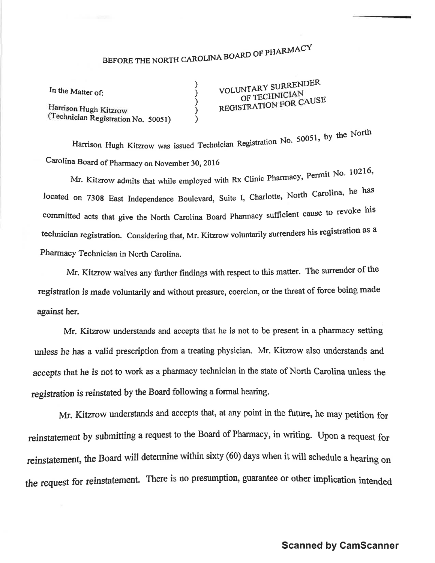## BEFORE THE NORTH CAROLINA BOARD OF PHARMACY

) ) ) ) )

| In the Matter of: |  |
|-------------------|--|
|-------------------|--|

Harrison Hugh Kitzrow (Technician Registration No. 50051) VOLUNTARY SURRENDER<br>OF TECHNICIAN<br>REGISTRATION FOR CAUSE OF TECHNICIAN

Harrison Hugh Kitzrow was issued Technician Registration No. 50051, by the North Carolina Board of pharmacy on November 30, 2016

Mr. Kitzrow admits that while employed with Rx Clinic Pharmacy, Permit No. 10216, located on 7308 East Independence Boulevard, Suite I, Charlotte, North Carolina, he has committed acts that give the North Carolina Board Pharmacy sufficient cause to revoke his technician registration. Considering that, Mr. Kitzrow voluntarily surrenders his regístration as <sup>a</sup> Pharmacy Technician in North Carolina.

Mr. Kitzrow waives any firther fïndings with respect to fhis matter. The surrender of the registration is made voluntarily and without pressure, coercion, or the threat of force being made against her.

Mr. Kitzrow understands and accepts that he is not to be present in a pharmacy setting unless he has a valid prescription from a treating physician. Mr. Kitzrow also understands and accepts that he is not to work as a pharmacy technician in the state of North Carolina unless the registration is reinstated by the Board following a formal hearing.

Mr. Kitzrow understands and accepts that, at any point in the future, he may petition for reinstatement by submitting a request to the Board of Pharmacy, in writing. Upon a request for reinstatement, the Board will determine within sixty (60) days when it will schedule a hearing on the request for reinstatement. There is no presumption, guarantee or other implication intended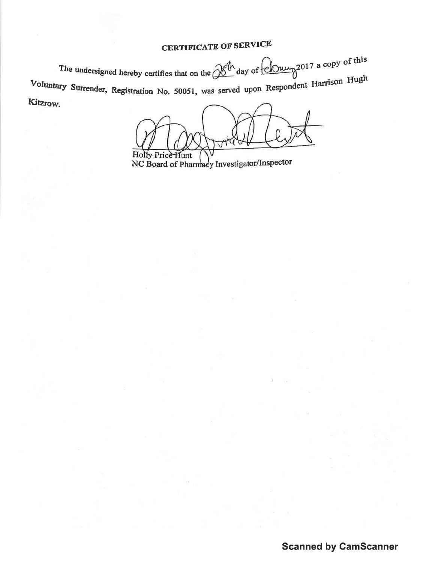## **CERTIFICATE OF SERVICE**

The undersigned hereby certifies that on the  $\frac{\partial \mathcal{E}^{h}}{\partial x}$  day of  $\frac{\partial \mathcal{E}^{h}}{\partial y}$  a copy of this Voluntary Surrender, Registration No. 50051, was served upon Respondent Harrison Hugh Kitzrow.

 $\Delta$ Holly Price Hunt

NC Board of Pharmacy Investigator/Inspector